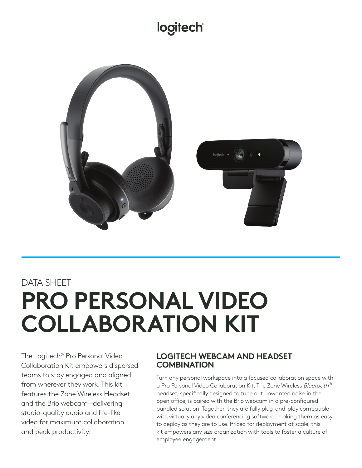## **logitech®**



# DATA SHEET **PRO PERSONAL VIDEO COLLABORATION KIT**

The Logitech® Pro Personal Video Collaboration Kit empowers dispersed teams to stay engaged and aligned from wherever they work. This kit features the Zone Wireless Headset and the Brio webcam—delivering studio-quality audio and life-like video for maximum collaboration and peak productivity.

### **LOGITECH WEBCAM AND HEADSET COMBINATION**

Turn any personal workspace into a focused collaboration space with a Pro Personal Video Collaboration Kit. The Zone Wireless *Bluetooth*<sup>®</sup> headset, specifically designed to tune out unwanted noise in the open office, is paired with the Brio webcam in a pre-configured bundled solution. Together, they are fully plug-and-play compatible with virtually any video conferencing software, making them as easy to deploy as they are to use. Priced for deployment at scale, this kit empowers any size organization with tools to foster a culture of employee engagement.